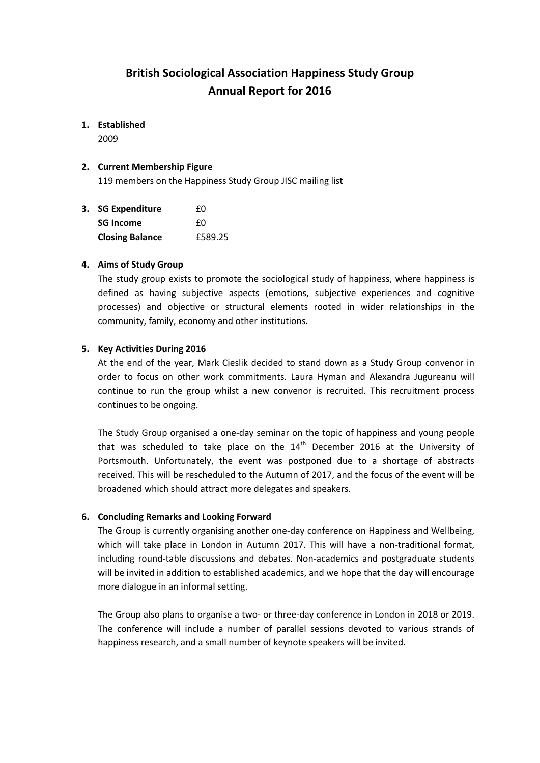# **British Sociological Association Happiness Study Group Annual Report for 2016**

## **1. Established**

2009

#### **2. Current Membership Figure**

119 members on the Happiness Study Group JISC mailing list

| 3. SG Expenditure      | f۵      |
|------------------------|---------|
| <b>SG Income</b>       | f۵      |
| <b>Closing Balance</b> | £589.25 |

## **4. Aims of Study Group**

The study group exists to promote the sociological study of happiness, where happiness is defined as having subjective aspects (emotions, subjective experiences and cognitive processes) and objective or structural elements rooted in wider relationships in the community, family, economy and other institutions.

## **5. Key Activities During 2016**

At the end of the year, Mark Cieslik decided to stand down as a Study Group convenor in order to focus on other work commitments. Laura Hyman and Alexandra Jugureanu will continue to run the group whilst a new convenor is recruited. This recruitment process continues to be ongoing.

The Study Group organised a one‐day seminar on the topic of happiness and young people that was scheduled to take place on the  $14<sup>th</sup>$  December 2016 at the University of Portsmouth. Unfortunately, the event was postponed due to a shortage of abstracts received. This will be rescheduled to the Autumn of 2017, and the focus of the event will be broadened which should attract more delegates and speakers.

#### **6. Concluding Remarks and Looking Forward**

The Group is currently organising another one‐day conference on Happiness and Wellbeing, which will take place in London in Autumn 2017. This will have a non-traditional format, including round‐table discussions and debates. Non‐academics and postgraduate students will be invited in addition to established academics, and we hope that the day will encourage more dialogue in an informal setting.

The Group also plans to organise a two- or three-day conference in London in 2018 or 2019. The conference will include a number of parallel sessions devoted to various strands of happiness research, and a small number of keynote speakers will be invited.